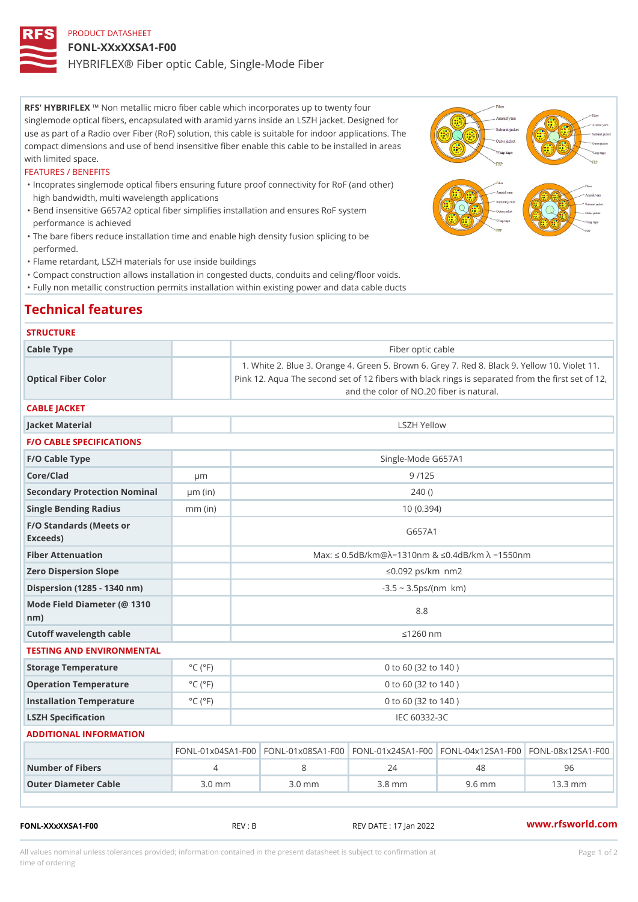# PRODUCT DATASHEET FONL-XXxXXSA1-F00 HYBRIFLEX® Fiber optic Cable, Single-Mode Fiber

RFS' HYBRIFNEX metallic micro fiber cable which incorporates up to twenty four singlemode optical fibers, encapsulated with aramid yarns inside an LSZH jacket. Designed for use as part of a Radio over Fiber (RoF) solution, this cable is suitable for indoor applications. The compact dimensions and use of bend insensitive fiber enable this cable to be installed in areas with limited space.

### FEATURES / BENEFITS

- "Incoprates singlemode optical fibers ensuring future proof connectivity for RoF (and other) high bandwidth, multi wavelength applications
- Bend insensitive G657A2 optical fiber simplifies installation and ensures RoF system " performance is achieved
- The bare fibers reduce installation time and enable high density fusion splicing to be " performed.
- "Flame retardant, LSZH materials for use inside buildings
- "Compact construction allows installation in congested ducts, conduits and celing/floor voids.
- "Fully non metallic construction permits installation within existing power and data cable ducts

### Technical features

#### **STRUCTURE**

| Cable Type                                       |                             | Fiber optic cable                                                                                                                                                                |          |                    |                                                        |  |  |  |
|--------------------------------------------------|-----------------------------|----------------------------------------------------------------------------------------------------------------------------------------------------------------------------------|----------|--------------------|--------------------------------------------------------|--|--|--|
| Optical Fiber Color                              |                             | 1. White 2. Blue 3. Orange 4. Green 5. Brown 6. Grey 7. Red 8.<br>Pink 12. Aqua The second set of 12 fibers with black rings is sepa<br>and the color of NO.20 fiber is natural. |          |                    |                                                        |  |  |  |
| CABLE JACKET                                     |                             |                                                                                                                                                                                  |          |                    |                                                        |  |  |  |
| Jacket Material                                  |                             | LSZH Yellow                                                                                                                                                                      |          |                    |                                                        |  |  |  |
| <b>F/O CABLE SPECIFICATIONS</b>                  |                             |                                                                                                                                                                                  |          |                    |                                                        |  |  |  |
| F/O Cable Type                                   |                             |                                                                                                                                                                                  |          | Single-Mode G657A1 |                                                        |  |  |  |
| Core/Clad                                        | $\mu$ m                     | 9/125                                                                                                                                                                            |          |                    |                                                        |  |  |  |
| Secondary Protection Nomumal(in)                 |                             |                                                                                                                                                                                  | 240()    |                    |                                                        |  |  |  |
| Single Bending Radius                            | $mm$ (in)                   | 10(0.394)                                                                                                                                                                        |          |                    |                                                        |  |  |  |
| F/O Standards (Meets or<br>Exceeds)              |                             | G657A1                                                                                                                                                                           |          |                    |                                                        |  |  |  |
| Fiber Attenuation                                |                             |                                                                                                                                                                                  |          |                    | Max: "d $0.5dB/km@$ » = 1310nm & "d0.4dB/km » = 1550nm |  |  |  |
| Zero Dispersion Slope                            |                             | " $d0.092$ ps/km§ $\bullet$ nm2                                                                                                                                                  |          |                    |                                                        |  |  |  |
| Dispersion (1285 - 1340 nm)                      |                             | $-3.5 - 3.5$ ps/(nm§• km)                                                                                                                                                        |          |                    |                                                        |  |  |  |
| Mode Field Diameter (@ 1310<br>$n \, \text{m}$ ) |                             | 8.8                                                                                                                                                                              |          |                    |                                                        |  |  |  |
| Cutoff wavelength cable                          |                             | "d1260 nm                                                                                                                                                                        |          |                    |                                                        |  |  |  |
| TESTING AND ENVIRONMENTAL                        |                             |                                                                                                                                                                                  |          |                    |                                                        |  |  |  |
| Storage Temperature                              | $^{\circ}$ C ( $^{\circ}$ F | 0 to 60 (32 to 140)                                                                                                                                                              |          |                    |                                                        |  |  |  |
| Operation Temperature                            | $^{\circ}$ C ( $^{\circ}$ F | 0 to 60 (32 to 140)                                                                                                                                                              |          |                    |                                                        |  |  |  |
| Installation Temperature                         | $^{\circ}$ C ( $^{\circ}$ F | 0 to 60 (32 to 140)                                                                                                                                                              |          |                    |                                                        |  |  |  |
| LSZH Specification                               |                             | IEC 60332-3C                                                                                                                                                                     |          |                    |                                                        |  |  |  |
| ADDITIONAL INFORMATION                           |                             |                                                                                                                                                                                  |          |                    |                                                        |  |  |  |
|                                                  |                             | $FONL-01 \times 04 S$ A FIGENDLO-01 $\times$ 08 S A FIGENDLO-01 $\times$ 24 S A FIGENDLO-04 $\times$ 12 S A FIGENDLO-08 $\times$ 12 S A 1 - F                                    |          |                    |                                                        |  |  |  |
| Number of Fibers                                 | 4                           | 8                                                                                                                                                                                | 24       | 48                 | 96                                                     |  |  |  |
| Outer Diameter Cable                             | $3.0$ mm                    | $3.0$ mm                                                                                                                                                                         | $3.8$ mm | $9.6$ mm           | $13.3$ mm                                              |  |  |  |

FONL-XXxXXSA1-F00 REV : B REV DATE : 17 Jan 2022 [www.](https://www.rfsworld.com)rfsworld.com